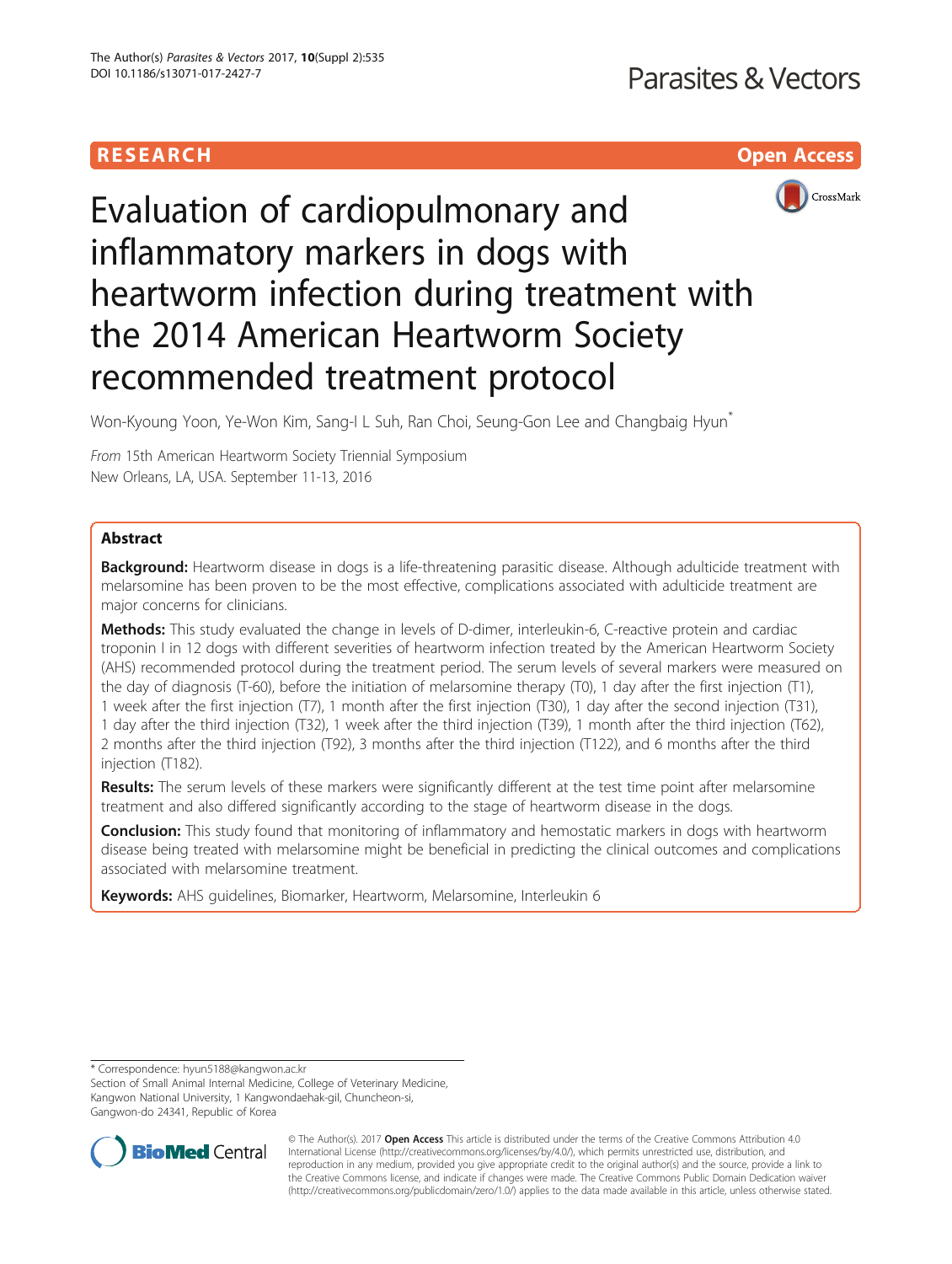# **RESEARCH CHILD CONTROL** CONTROL CONTROL CONTROL CONTROL CONTROL CONTROL CONTROL CONTROL CONTROL CONTROL CONTROL CONTROL CONTROL CONTROL CONTROL CONTROL CONTROL CONTROL CONTROL CONTROL CONTROL CONTROL CONTROL CONTROL CONTR



# Evaluation of cardiopulmonary and inflammatory markers in dogs with heartworm infection during treatment with the 2014 American Heartworm Society recommended treatment protocol

Won-Kyoung Yoon, Ye-Won Kim, Sang-I L Suh, Ran Choi, Seung-Gon Lee and Changbaig Hyun<sup>\*</sup>

From 15th American Heartworm Society Triennial Symposium New Orleans, LA, USA. September 11-13, 2016

# Abstract

Background: Heartworm disease in dogs is a life-threatening parasitic disease. Although adulticide treatment with melarsomine has been proven to be the most effective, complications associated with adulticide treatment are major concerns for clinicians.

Methods: This study evaluated the change in levels of D-dimer, interleukin-6, C-reactive protein and cardiac troponin I in 12 dogs with different severities of heartworm infection treated by the American Heartworm Society (AHS) recommended protocol during the treatment period. The serum levels of several markers were measured on the day of diagnosis (T-60), before the initiation of melarsomine therapy (T0), 1 day after the first injection (T1), 1 week after the first injection (T7), 1 month after the first injection (T30), 1 day after the second injection (T31), 1 day after the third injection (T32), 1 week after the third injection (T39), 1 month after the third injection (T62), 2 months after the third injection (T92), 3 months after the third injection (T122), and 6 months after the third injection (T182).

Results: The serum levels of these markers were significantly different at the test time point after melarsomine treatment and also differed significantly according to the stage of heartworm disease in the dogs.

**Conclusion:** This study found that monitoring of inflammatory and hemostatic markers in dogs with heartworm disease being treated with melarsomine might be beneficial in predicting the clinical outcomes and complications associated with melarsomine treatment.

Keywords: AHS guidelines, Biomarker, Heartworm, Melarsomine, Interleukin 6

\* Correspondence: [hyun5188@kangwon.ac.kr](mailto:hyun5188@kangwon.ac.kr)

Section of Small Animal Internal Medicine, College of Veterinary Medicine, Kangwon National University, 1 Kangwondaehak-gil, Chuncheon-si, Gangwon-do 24341, Republic of Korea



© The Author(s). 2017 **Open Access** This article is distributed under the terms of the Creative Commons Attribution 4.0 International License [\(http://creativecommons.org/licenses/by/4.0/](http://creativecommons.org/licenses/by/4.0/)), which permits unrestricted use, distribution, and reproduction in any medium, provided you give appropriate credit to the original author(s) and the source, provide a link to the Creative Commons license, and indicate if changes were made. The Creative Commons Public Domain Dedication waiver [\(http://creativecommons.org/publicdomain/zero/1.0/](http://creativecommons.org/publicdomain/zero/1.0/)) applies to the data made available in this article, unless otherwise stated.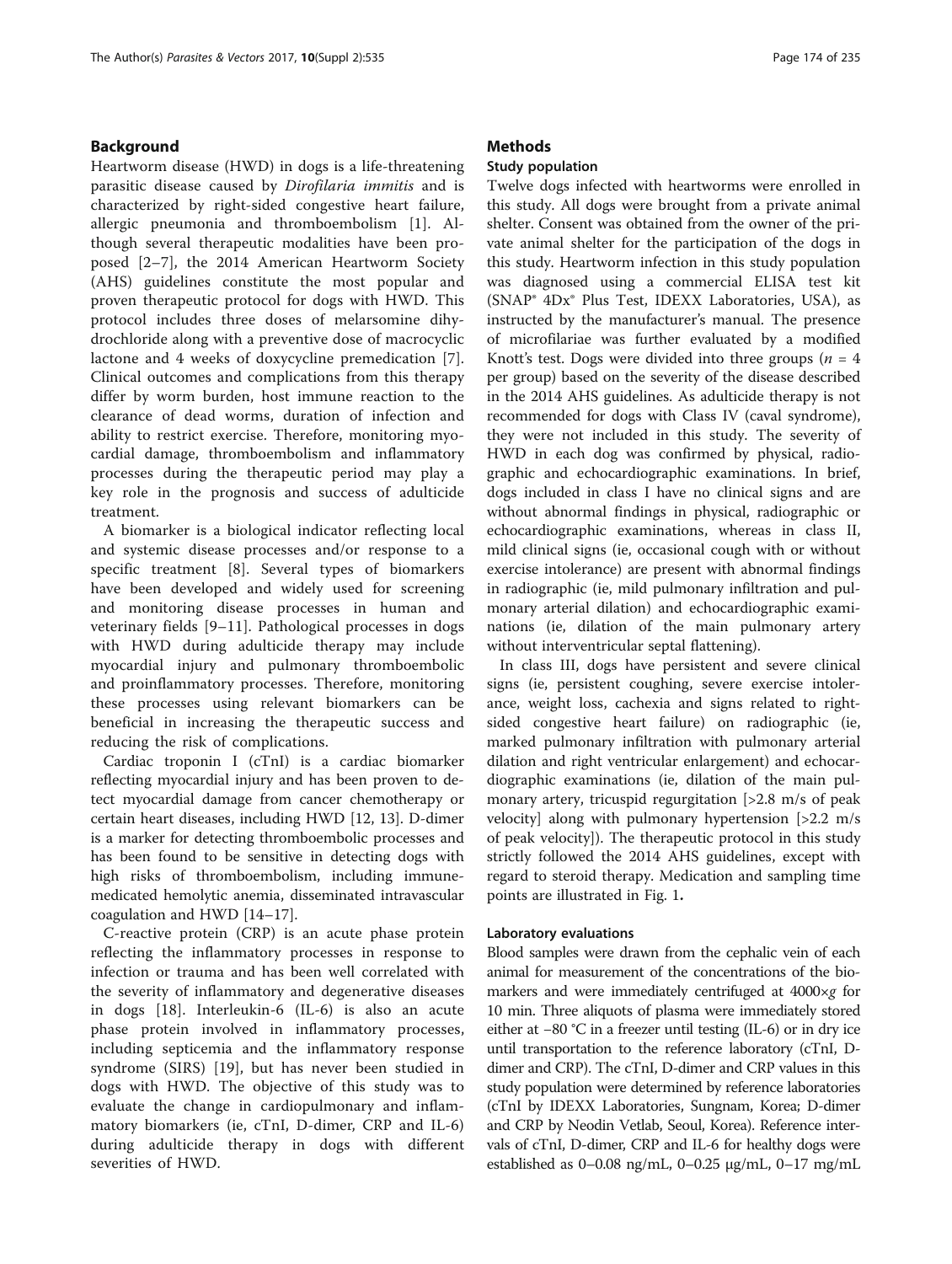# Background

Heartworm disease (HWD) in dogs is a life-threatening parasitic disease caused by Dirofilaria immitis and is characterized by right-sided congestive heart failure, allergic pneumonia and thromboembolism [\[1](#page-6-0)]. Although several therapeutic modalities have been proposed [[2](#page-6-0)–[7\]](#page-7-0), the 2014 American Heartworm Society (AHS) guidelines constitute the most popular and proven therapeutic protocol for dogs with HWD. This protocol includes three doses of melarsomine dihydrochloride along with a preventive dose of macrocyclic lactone and 4 weeks of doxycycline premedication [\[7](#page-7-0)]. Clinical outcomes and complications from this therapy differ by worm burden, host immune reaction to the clearance of dead worms, duration of infection and ability to restrict exercise. Therefore, monitoring myocardial damage, thromboembolism and inflammatory processes during the therapeutic period may play a key role in the prognosis and success of adulticide treatment.

A biomarker is a biological indicator reflecting local and systemic disease processes and/or response to a specific treatment [[8\]](#page-7-0). Several types of biomarkers have been developed and widely used for screening and monitoring disease processes in human and veterinary fields [[9](#page-7-0)–[11](#page-7-0)]. Pathological processes in dogs with HWD during adulticide therapy may include myocardial injury and pulmonary thromboembolic and proinflammatory processes. Therefore, monitoring these processes using relevant biomarkers can be beneficial in increasing the therapeutic success and reducing the risk of complications.

Cardiac troponin I (cTnI) is a cardiac biomarker reflecting myocardial injury and has been proven to detect myocardial damage from cancer chemotherapy or certain heart diseases, including HWD [\[12](#page-7-0), [13](#page-7-0)]. D-dimer is a marker for detecting thromboembolic processes and has been found to be sensitive in detecting dogs with high risks of thromboembolism, including immunemedicated hemolytic anemia, disseminated intravascular coagulation and HWD [[14](#page-7-0)–[17](#page-7-0)].

C-reactive protein (CRP) is an acute phase protein reflecting the inflammatory processes in response to infection or trauma and has been well correlated with the severity of inflammatory and degenerative diseases in dogs [[18\]](#page-7-0). Interleukin-6 (IL-6) is also an acute phase protein involved in inflammatory processes, including septicemia and the inflammatory response syndrome (SIRS) [[19\]](#page-7-0), but has never been studied in dogs with HWD. The objective of this study was to evaluate the change in cardiopulmonary and inflammatory biomarkers (ie, cTnI, D-dimer, CRP and IL-6) during adulticide therapy in dogs with different severities of HWD.

## **Methods**

# Study population

Twelve dogs infected with heartworms were enrolled in this study. All dogs were brought from a private animal shelter. Consent was obtained from the owner of the private animal shelter for the participation of the dogs in this study. Heartworm infection in this study population was diagnosed using a commercial ELISA test kit (SNAP® 4Dx® Plus Test, IDEXX Laboratories, USA), as instructed by the manufacturer's manual. The presence of microfilariae was further evaluated by a modified Knott's test. Dogs were divided into three groups ( $n = 4$ ) per group) based on the severity of the disease described in the 2014 AHS guidelines. As adulticide therapy is not recommended for dogs with Class IV (caval syndrome), they were not included in this study. The severity of HWD in each dog was confirmed by physical, radiographic and echocardiographic examinations. In brief, dogs included in class I have no clinical signs and are without abnormal findings in physical, radiographic or echocardiographic examinations, whereas in class II, mild clinical signs (ie, occasional cough with or without exercise intolerance) are present with abnormal findings in radiographic (ie, mild pulmonary infiltration and pulmonary arterial dilation) and echocardiographic examinations (ie, dilation of the main pulmonary artery without interventricular septal flattening).

In class III, dogs have persistent and severe clinical signs (ie, persistent coughing, severe exercise intolerance, weight loss, cachexia and signs related to rightsided congestive heart failure) on radiographic (ie, marked pulmonary infiltration with pulmonary arterial dilation and right ventricular enlargement) and echocardiographic examinations (ie, dilation of the main pulmonary artery, tricuspid regurgitation [>2.8 m/s of peak velocity] along with pulmonary hypertension [>2.2 m/s of peak velocity]). The therapeutic protocol in this study strictly followed the 2014 AHS guidelines, except with regard to steroid therapy. Medication and sampling time points are illustrated in Fig. [1](#page-2-0).

## Laboratory evaluations

Blood samples were drawn from the cephalic vein of each animal for measurement of the concentrations of the biomarkers and were immediately centrifuged at 4000×g for 10 min. Three aliquots of plasma were immediately stored either at −80 °C in a freezer until testing (IL-6) or in dry ice until transportation to the reference laboratory (cTnI, Ddimer and CRP). The cTnI, D-dimer and CRP values in this study population were determined by reference laboratories (cTnI by IDEXX Laboratories, Sungnam, Korea; D-dimer and CRP by Neodin Vetlab, Seoul, Korea). Reference intervals of cTnI, D-dimer, CRP and IL-6 for healthy dogs were established as  $0-0.08$  ng/mL,  $0-0.25$  µg/mL,  $0-17$  mg/mL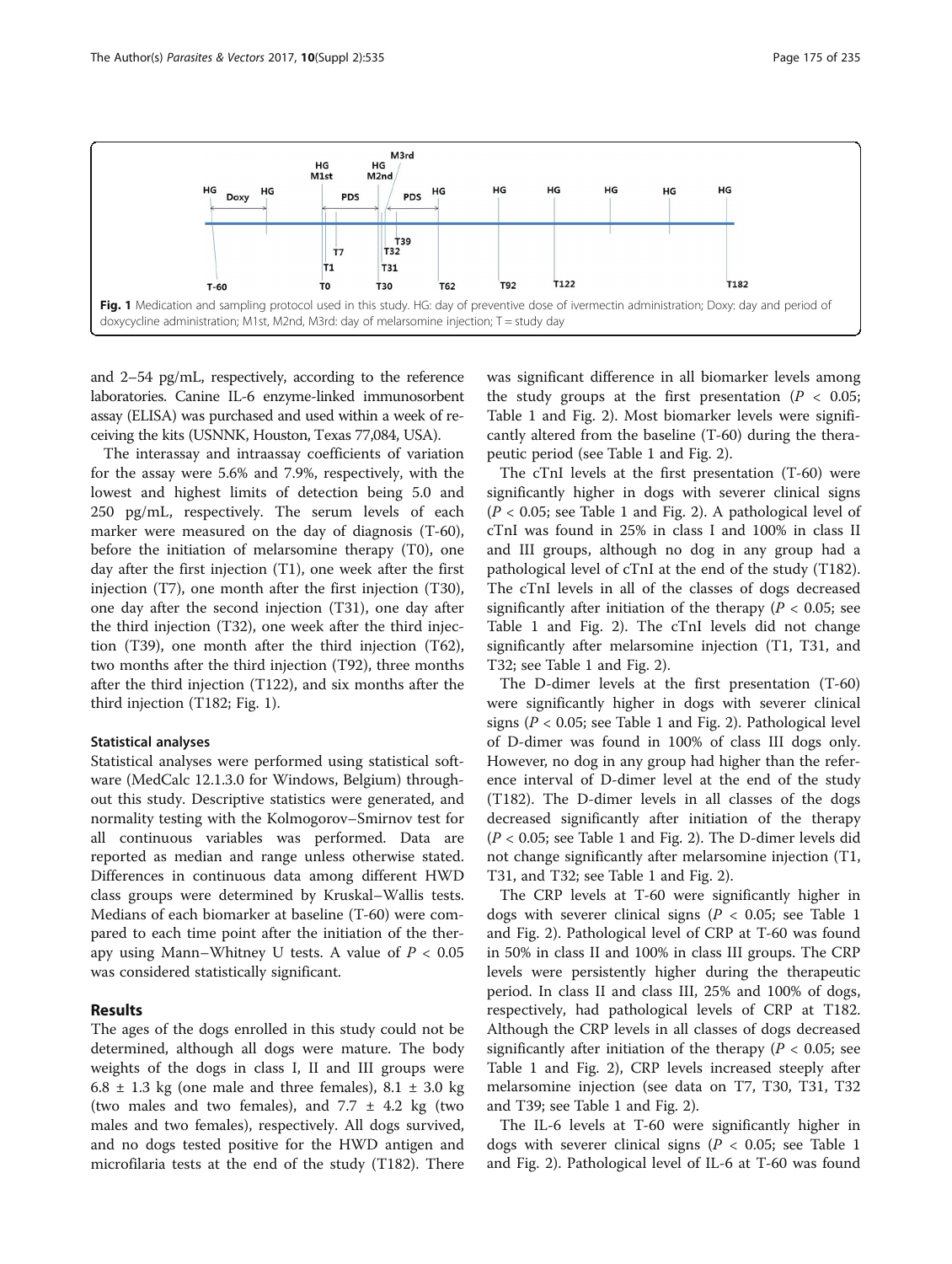<span id="page-2-0"></span>

and 2–54 pg/mL, respectively, according to the reference laboratories. Canine IL-6 enzyme-linked immunosorbent assay (ELISA) was purchased and used within a week of receiving the kits (USNNK, Houston, Texas 77,084, USA).

The interassay and intraassay coefficients of variation for the assay were 5.6% and 7.9%, respectively, with the lowest and highest limits of detection being 5.0 and 250 pg/mL, respectively. The serum levels of each marker were measured on the day of diagnosis (T-60), before the initiation of melarsomine therapy (T0), one day after the first injection (T1), one week after the first injection (T7), one month after the first injection (T30), one day after the second injection (T31), one day after the third injection (T32), one week after the third injection (T39), one month after the third injection (T62), two months after the third injection (T92), three months after the third injection (T122), and six months after the third injection (T182; Fig. 1).

## Statistical analyses

Statistical analyses were performed using statistical software (MedCalc 12.1.3.0 for Windows, Belgium) throughout this study. Descriptive statistics were generated, and normality testing with the Kolmogorov–Smirnov test for all continuous variables was performed. Data are reported as median and range unless otherwise stated. Differences in continuous data among different HWD class groups were determined by Kruskal–Wallis tests. Medians of each biomarker at baseline (T-60) were compared to each time point after the initiation of the therapy using Mann–Whitney U tests. A value of  $P < 0.05$ was considered statistically significant.

# Results

The ages of the dogs enrolled in this study could not be determined, although all dogs were mature. The body weights of the dogs in class I, II and III groups were  $6.8 \pm 1.3$  kg (one male and three females),  $8.1 \pm 3.0$  kg (two males and two females), and  $7.7 \pm 4.2$  kg (two males and two females), respectively. All dogs survived, and no dogs tested positive for the HWD antigen and microfilaria tests at the end of the study (T182). There was significant difference in all biomarker levels among the study groups at the first presentation ( $P < 0.05$ ; Table [1](#page-3-0) and Fig. [2](#page-4-0)). Most biomarker levels were significantly altered from the baseline (T-60) during the therapeutic period (see Table [1](#page-3-0) and Fig. [2](#page-4-0)).

The cTnI levels at the first presentation (T-60) were significantly higher in dogs with severer clinical signs  $(P < 0.05$ ; see Table [1](#page-3-0) and Fig. [2](#page-4-0)). A pathological level of cTnI was found in 25% in class I and 100% in class II and III groups, although no dog in any group had a pathological level of cTnI at the end of the study (T182). The cTnI levels in all of the classes of dogs decreased significantly after initiation of the therapy ( $P < 0.05$ ; see Table [1](#page-3-0) and Fig. [2\)](#page-4-0). The cTnI levels did not change significantly after melarsomine injection (T1, T31, and T32; see Table [1](#page-3-0) and Fig. [2](#page-4-0)).

The D-dimer levels at the first presentation (T-60) were significantly higher in dogs with severer clinical signs ( $P < 0.05$ ; see Table [1](#page-3-0) and Fig. [2\)](#page-4-0). Pathological level of D-dimer was found in 100% of class III dogs only. However, no dog in any group had higher than the reference interval of D-dimer level at the end of the study (T182). The D-dimer levels in all classes of the dogs decreased significantly after initiation of the therapy  $(P < 0.05$ ; see Table [1](#page-3-0) and Fig. [2](#page-4-0)). The D-dimer levels did not change significantly after melarsomine injection (T1, T31, and T32; see Table [1](#page-3-0) and Fig. [2\)](#page-4-0).

The CRP levels at T-60 were significantly higher in dogs with severer clinical signs ( $P < 0.05$ ; see Table [1](#page-3-0) and Fig. [2\)](#page-4-0). Pathological level of CRP at T-60 was found in 50% in class II and 100% in class III groups. The CRP levels were persistently higher during the therapeutic period. In class II and class III, 25% and 100% of dogs, respectively, had pathological levels of CRP at T182. Although the CRP levels in all classes of dogs decreased significantly after initiation of the therapy ( $P < 0.05$ ; see Table [1](#page-3-0) and Fig. [2\)](#page-4-0), CRP levels increased steeply after melarsomine injection (see data on T7, T30, T31, T32 and T39; see Table [1](#page-3-0) and Fig. [2](#page-4-0)).

The IL-6 levels at T-60 were significantly higher in dogs with severer clinical signs ( $P < 0.05$ ; see Table [1](#page-3-0) and Fig. [2](#page-4-0)). Pathological level of IL-6 at T-60 was found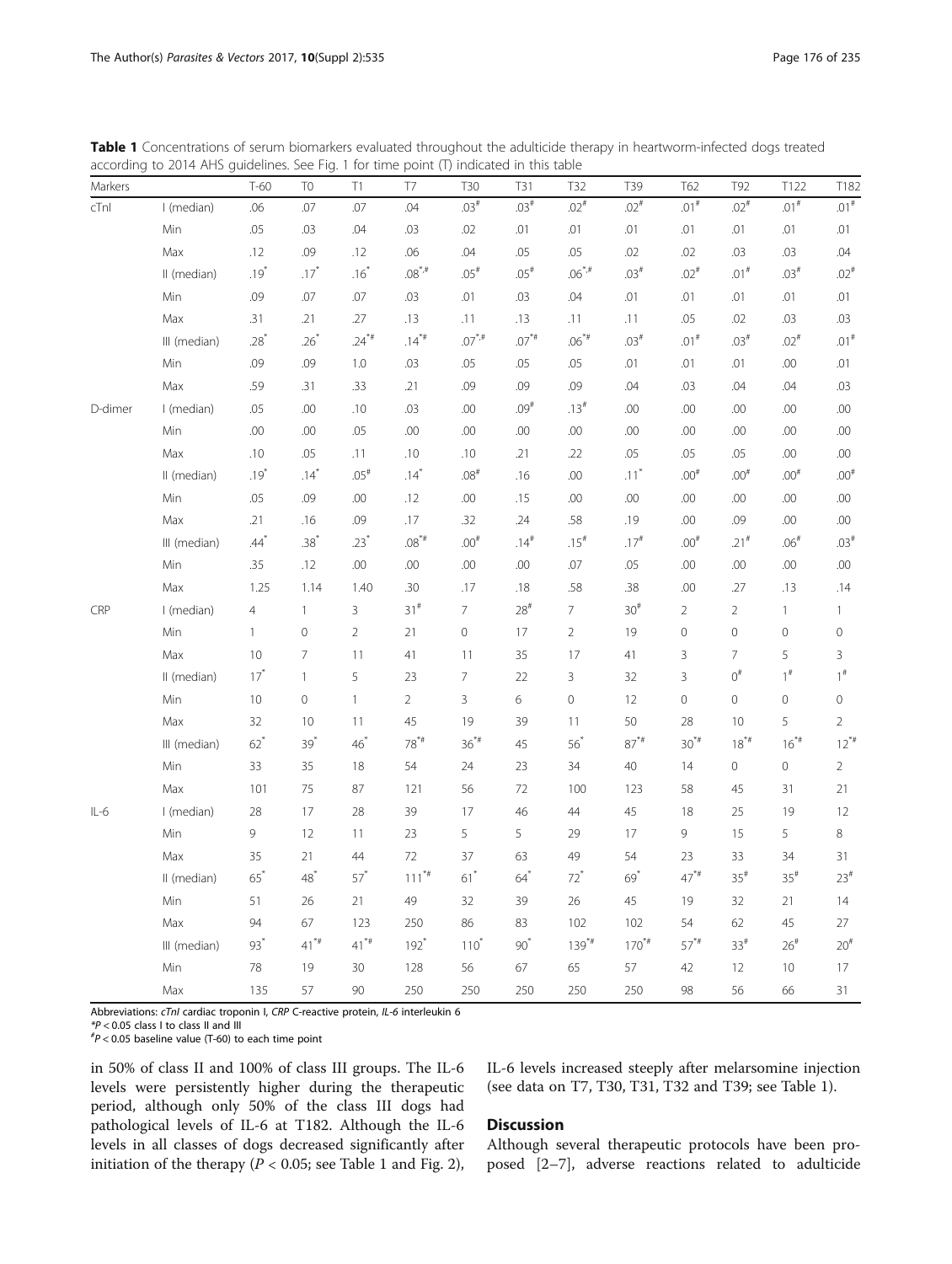<span id="page-3-0"></span>

| Table 1 Concentrations of serum biomarkers evaluated throughout the adulticide therapy in heartworm-infected dogs treated |  |
|---------------------------------------------------------------------------------------------------------------------------|--|
| according to 2014 AHS quidelines. See Fig. 1 for time point $(T)$ indicated in this table                                 |  |

| Markers |              | $T-60$       | T <sub>0</sub>     | T1             | T7                 | <b>T30</b>        | <b>T31</b>         | T32                | T39                | T62                | T92                | T122               | T182               |
|---------|--------------|--------------|--------------------|----------------|--------------------|-------------------|--------------------|--------------------|--------------------|--------------------|--------------------|--------------------|--------------------|
| cTnl    | I (median)   | .06          | .07                | .07            | .04                | $.03*$            | .03#               | $.02^{\#}$         | $.02^{\#}$         | $.01$ <sup>#</sup> | $.02$ <sup>#</sup> | $.01$ <sup>#</sup> | $.01$ <sup>#</sup> |
|         | Min          | .05          | .03                | .04            | .03                | .02               | .01                | .01                | .01                | .01                | .01                | .01                | .01                |
|         | Max          | .12          | .09                | .12            | .06                | .04               | .05                | .05                | .02                | .02                | .03                | .03                | .04                |
|         | II (median)  | $.19^{*}$    | $.17*$             | $.16*$         | $.08^{*,#}$        | $.05^{\rm #}$     | $.05^{#}$          | $.06^{*,#}$        | $.03*$             | $.02^{\#}$         | .01#               | .03#               | $.02^{\rm \#}$     |
|         | Min          | .09          | .07                | .07            | .03                | .01               | .03                | .04                | .01                | .01                | .01                | .01                | .01                |
|         | Max          | .31          | .21                | .27            | .13                | .11               | .13                | .11                | .11                | .05                | .02                | .03                | .03                |
|         | III (median) | $.28^{n}$    | $.26*$             | $.24***$       | $.14***$           | $.07^{*,#}$       | $.07**$            | $.06^{*}$ #        | .03#               | $.01$ <sup>#</sup> | .03#               | $.02$ <sup>#</sup> | $.01$ <sup>#</sup> |
|         | Min          | .09          | .09                | 1.0            | .03                | .05               | .05                | .05                | .01                | .01                | .01                | .00                | .01                |
|         | Max          | .59          | .31                | .33            | .21                | .09               | .09                | .09                | .04                | .03                | .04                | .04                | .03                |
| D-dimer | I (median)   | .05          | .00                | .10            | .03                | .00               | $.09$ <sup>#</sup> | .13#               | .00                | .00                | .00                | .00                | .00                |
|         | Min          | .00          | .00                | .05            | .00                | .00               | .00                | .00                | .00                | .00                | .00                | .00                | .00                |
|         | Max          | .10          | .05                | .11            | .10                | .10               | .21                | .22                | .05                | .05                | .05                | .00                | .00                |
|         | II (median)  | $.19^{*}$    | $.14$ <sup>*</sup> | $.05^{#}$      | $.14$ <sup>*</sup> | $.08^{\rm \#}$    | .16                | .00                | .11 <sup>2</sup>   | $.00^{#}$          | $.00^{#}$          | $.00^{#}$          | $.00^{#}$          |
|         | Min          | .05          | .09                | .00            | .12                | .00               | .15                | .00                | .00                | .00                | .00                | .00                | .00                |
|         | Max          | .21          | .16                | .09            | .17                | .32               | .24                | .58                | .19                | .00                | .09                | .00                | .00                |
|         | III (median) | .44          | $.38^*$            | $.23*$         | $.08^{*}$ #        | $.00^{#}$         | $.14$ <sup>#</sup> | $.15$ <sup>#</sup> | $.17$ <sup>#</sup> | $.00^{#}$          | $.21$ <sup>#</sup> | $.06$ #            | $.03*$             |
|         | Min          | .35          | .12                | .00            | .00                | .00               | .00                | .07                | .05                | .00                | .00                | .00                | .00                |
|         | Max          | 1.25         | 1.14               | 1.40           | .30                | .17               | .18                | .58                | .38                | .00                | .27                | .13                | .14                |
| CRP     | I (median)   | 4            | $\mathbf{1}$       | 3              | $31$ <sup>#</sup>  | $\overline{7}$    | $28^{\text{*}}$    | $\overline{7}$     | 30 <sup>#</sup>    | $\overline{2}$     | $\overline{2}$     | $\mathbf{1}$       | $\mathbf{1}$       |
|         | Min          | $\mathbf{1}$ | $\mathbf 0$        | $\overline{2}$ | 21                 | $\mathbf 0$       | 17                 | $\overline{2}$     | 19                 | $\circ$            | $\circ$            | 0                  | 0                  |
|         | Max          | 10           | 7                  | 11             | 41                 | 11                | 35                 | 17                 | 41                 | 3                  | $\overline{7}$     | 5                  | 3                  |
|         | II (median)  | $17*$        | $\mathbf{1}$       | 5              | 23                 | 7                 | 22                 | 3                  | 32                 | 3                  | $0^{\#}$           | $1^{\#}$           | $1^{\#}$           |
|         | Min          | 10           | $\mathbf 0$        | $\mathbf{1}$   | $\overline{2}$     | 3                 | 6                  | 0                  | 12                 | 0                  | 0                  | 0                  | 0                  |
|         | Max          | 32           | 10                 | 11             | 45                 | 19                | 39                 | 11                 | 50                 | 28                 | 10                 | 5                  | $\overline{2}$     |
|         | III (median) | $62^*$       | $39*$              | $46^*$         | $78^{*}$           | $36^{*}$ #        | 45                 | $56^*$             | $87^{*}$           | $30^{*}$ #         | $18^{*}$           | $16^{*}$           | $12^{*#}$          |
|         | Min          | 33           | 35                 | 18             | 54                 | 24                | 23                 | 34                 | 40                 | 14                 | 0                  | 0                  | $\overline{2}$     |
|         | Max          | 101          | 75                 | 87             | 121                | 56                | 72                 | 100                | 123                | 58                 | 45                 | 31                 | 21                 |
| $IL-6$  | I (median)   | 28           | 17                 | 28             | 39                 | 17                | 46                 | 44                 | 45                 | 18                 | 25                 | 19                 | 12                 |
|         | Min          | 9            | 12                 | 11             | 23                 | 5                 | 5                  | 29                 | 17                 | 9                  | 15                 | 5                  | 8                  |
|         | Max          | 35           | 21                 | 44             | 72                 | 37                | 63                 | 49                 | 54                 | 23                 | 33                 | 34                 | 31                 |
|         | II (median)  | $65^*$       | $48^*$             | $57^*$         | $111^{*#}$         | $61$ <sup>*</sup> | $64$ <sup>*</sup>  | $72^*$             | 69*                | $47^{*}$           | 35#                | $35^{\#}$          | $23^{\#}$          |
|         | Min          | 51           | 26                 | 21             | 49                 | 32                | 39                 | 26                 | 45                 | 19                 | 32                 | 21                 | 14                 |
|         | Max          | 94           | 67                 | 123            | 250                | 86                | 83                 | 102                | 102                | 54                 | 62                 | 45                 | 27                 |
|         | III (median) | $93*$        | $41^{*}$           | $41^{*}$       | $192*$             | $110^*$           | $90^*$             | $139**$            | $170^{*}$          | $57^{*}$           | $33^{\rm #}$       | $26\#$             | 20 <sup>#</sup>    |
|         | Min          | 78           | 19                 | 30             | 128                | 56                | 67                 | 65                 | 57                 | 42                 | 12                 | 10                 | 17                 |
|         | Max          | 135          | 57                 | 90             | 250                | 250               | 250                | 250                | 250                | 98                 | 56                 | 66                 | 31                 |

Abbreviations: cTnI cardiac troponin I, CRP C-reactive protein, IL-6 interleukin 6

 $*P < 0.05$  class I to class II and III

 $^{*}P$  < 0.05 baseline value (T-60) to each time point

in 50% of class II and 100% of class III groups. The IL-6 levels were persistently higher during the therapeutic period, although only 50% of the class III dogs had pathological levels of IL-6 at T182. Although the IL-6 levels in all classes of dogs decreased significantly after initiation of the therapy ( $P < 0.05$ ; see Table 1 and Fig. [2](#page-4-0)),

IL-6 levels increased steeply after melarsomine injection (see data on T7, T30, T31, T32 and T39; see Table 1).

# Discussion

Although several therapeutic protocols have been proposed [[2](#page-6-0)–[7\]](#page-7-0), adverse reactions related to adulticide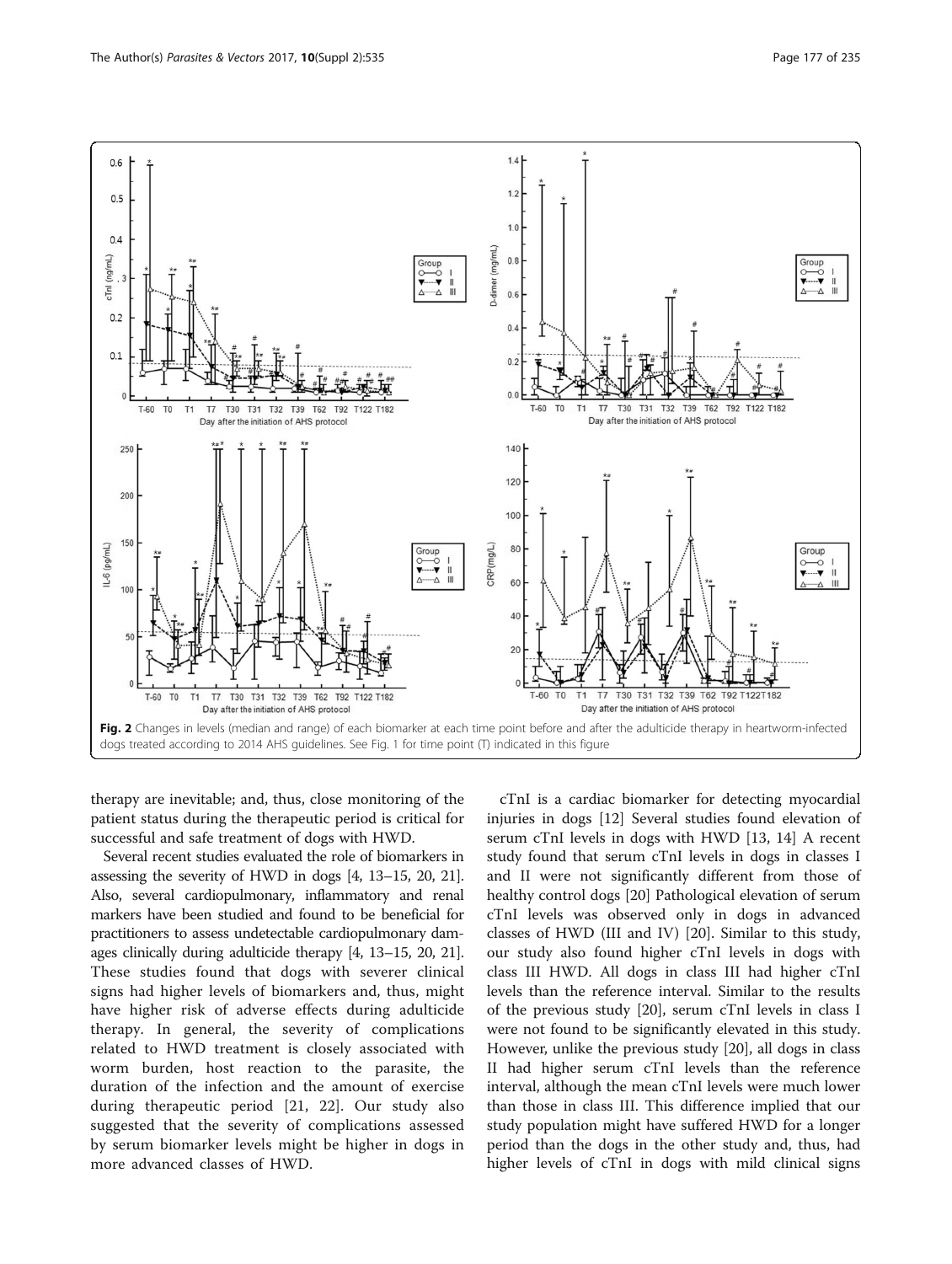<span id="page-4-0"></span>

therapy are inevitable; and, thus, close monitoring of the patient status during the therapeutic period is critical for successful and safe treatment of dogs with HWD.

Several recent studies evaluated the role of biomarkers in assessing the severity of HWD in dogs [\[4, 13](#page-7-0)–[15](#page-7-0), [20](#page-7-0), [21](#page-7-0)]. Also, several cardiopulmonary, inflammatory and renal markers have been studied and found to be beneficial for practitioners to assess undetectable cardiopulmonary damages clinically during adulticide therapy [[4](#page-7-0), [13](#page-7-0)–[15, 20](#page-7-0), [21](#page-7-0)]. These studies found that dogs with severer clinical signs had higher levels of biomarkers and, thus, might have higher risk of adverse effects during adulticide therapy. In general, the severity of complications related to HWD treatment is closely associated with worm burden, host reaction to the parasite, the duration of the infection and the amount of exercise during therapeutic period [[21, 22\]](#page-7-0). Our study also suggested that the severity of complications assessed by serum biomarker levels might be higher in dogs in more advanced classes of HWD.

cTnI is a cardiac biomarker for detecting myocardial injuries in dogs [[12\]](#page-7-0) Several studies found elevation of serum cTnI levels in dogs with HWD [[13, 14](#page-7-0)] A recent study found that serum cTnI levels in dogs in classes I and II were not significantly different from those of healthy control dogs [\[20](#page-7-0)] Pathological elevation of serum cTnI levels was observed only in dogs in advanced classes of HWD (III and IV) [\[20\]](#page-7-0). Similar to this study, our study also found higher cTnI levels in dogs with class III HWD. All dogs in class III had higher cTnI levels than the reference interval. Similar to the results of the previous study [[20](#page-7-0)], serum cTnI levels in class I were not found to be significantly elevated in this study. However, unlike the previous study [[20\]](#page-7-0), all dogs in class II had higher serum cTnI levels than the reference interval, although the mean cTnI levels were much lower than those in class III. This difference implied that our study population might have suffered HWD for a longer period than the dogs in the other study and, thus, had higher levels of cTnI in dogs with mild clinical signs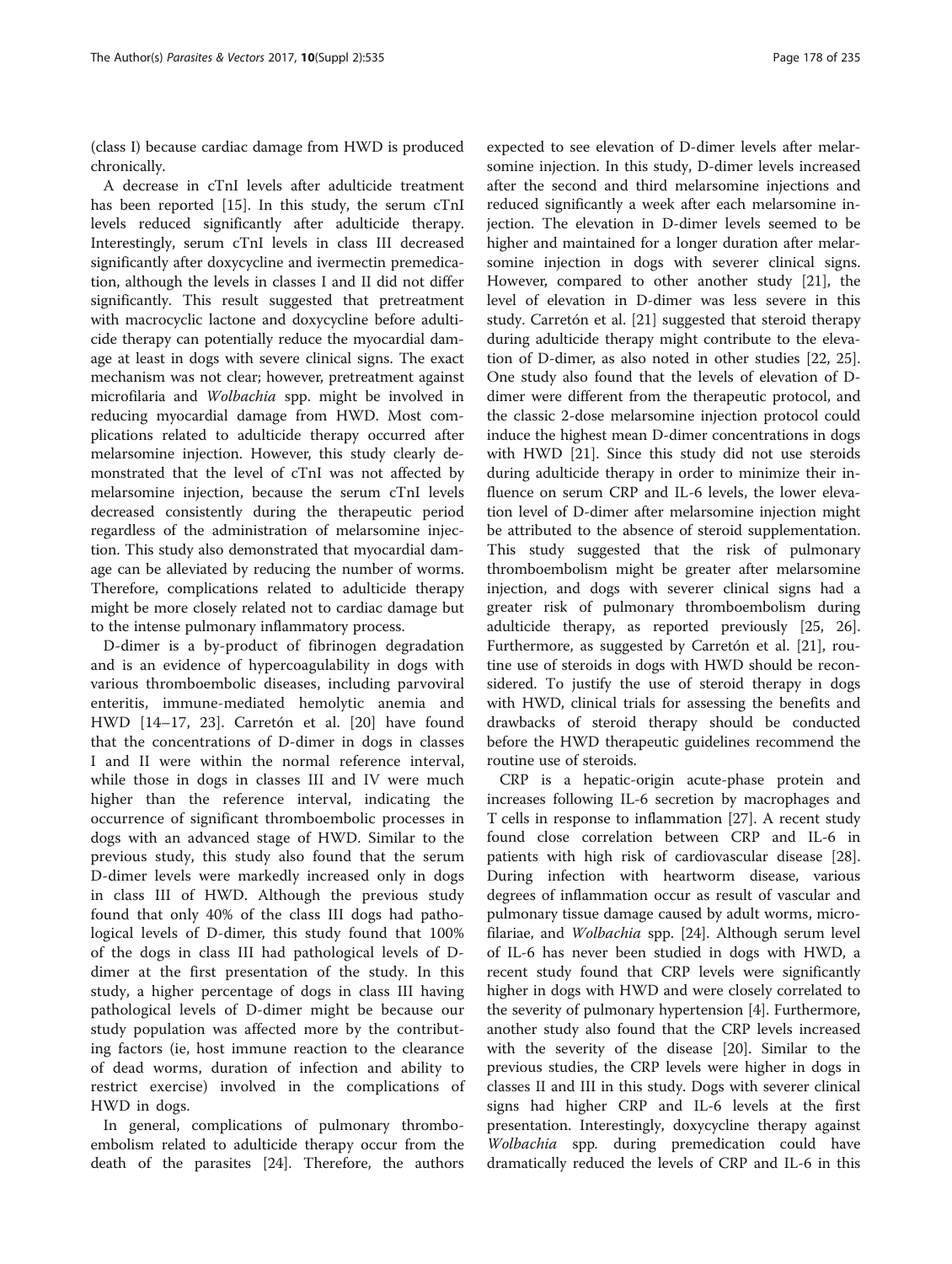(class I) because cardiac damage from HWD is produced chronically.

A decrease in cTnI levels after adulticide treatment has been reported [[15\]](#page-7-0). In this study, the serum cTnI levels reduced significantly after adulticide therapy. Interestingly, serum cTnI levels in class III decreased significantly after doxycycline and ivermectin premedication, although the levels in classes I and II did not differ significantly. This result suggested that pretreatment with macrocyclic lactone and doxycycline before adulticide therapy can potentially reduce the myocardial damage at least in dogs with severe clinical signs. The exact mechanism was not clear; however, pretreatment against microfilaria and Wolbachia spp. might be involved in reducing myocardial damage from HWD. Most complications related to adulticide therapy occurred after melarsomine injection. However, this study clearly demonstrated that the level of cTnI was not affected by melarsomine injection, because the serum cTnI levels decreased consistently during the therapeutic period regardless of the administration of melarsomine injection. This study also demonstrated that myocardial damage can be alleviated by reducing the number of worms. Therefore, complications related to adulticide therapy might be more closely related not to cardiac damage but to the intense pulmonary inflammatory process.

D-dimer is a by-product of fibrinogen degradation and is an evidence of hypercoagulability in dogs with various thromboembolic diseases, including parvoviral enteritis, immune-mediated hemolytic anemia and HWD [[14](#page-7-0)–[17, 23](#page-7-0)]. Carretón et al. [\[20](#page-7-0)] have found that the concentrations of D-dimer in dogs in classes I and II were within the normal reference interval, while those in dogs in classes III and IV were much higher than the reference interval, indicating the occurrence of significant thromboembolic processes in dogs with an advanced stage of HWD. Similar to the previous study, this study also found that the serum D-dimer levels were markedly increased only in dogs in class III of HWD. Although the previous study found that only 40% of the class III dogs had pathological levels of D-dimer, this study found that 100% of the dogs in class III had pathological levels of Ddimer at the first presentation of the study. In this study, a higher percentage of dogs in class III having pathological levels of D-dimer might be because our study population was affected more by the contributing factors (ie, host immune reaction to the clearance of dead worms, duration of infection and ability to restrict exercise) involved in the complications of HWD in dogs.

In general, complications of pulmonary thromboembolism related to adulticide therapy occur from the death of the parasites [[24](#page-7-0)]. Therefore, the authors

expected to see elevation of D-dimer levels after melarsomine injection. In this study, D-dimer levels increased after the second and third melarsomine injections and reduced significantly a week after each melarsomine injection. The elevation in D-dimer levels seemed to be higher and maintained for a longer duration after melarsomine injection in dogs with severer clinical signs. However, compared to other another study [[21\]](#page-7-0), the level of elevation in D-dimer was less severe in this study. Carretón et al. [\[21](#page-7-0)] suggested that steroid therapy during adulticide therapy might contribute to the elevation of D-dimer, as also noted in other studies [[22](#page-7-0), [25](#page-7-0)]. One study also found that the levels of elevation of Ddimer were different from the therapeutic protocol, and the classic 2-dose melarsomine injection protocol could induce the highest mean D-dimer concentrations in dogs with HWD [[21\]](#page-7-0). Since this study did not use steroids during adulticide therapy in order to minimize their influence on serum CRP and IL-6 levels, the lower elevation level of D-dimer after melarsomine injection might be attributed to the absence of steroid supplementation. This study suggested that the risk of pulmonary thromboembolism might be greater after melarsomine injection, and dogs with severer clinical signs had a greater risk of pulmonary thromboembolism during adulticide therapy, as reported previously [[25, 26](#page-7-0)]. Furthermore, as suggested by Carretón et al. [[21](#page-7-0)], routine use of steroids in dogs with HWD should be reconsidered. To justify the use of steroid therapy in dogs with HWD, clinical trials for assessing the benefits and drawbacks of steroid therapy should be conducted before the HWD therapeutic guidelines recommend the routine use of steroids.

CRP is a hepatic-origin acute-phase protein and increases following IL-6 secretion by macrophages and T cells in response to inflammation [[27](#page-7-0)]. A recent study found close correlation between CRP and IL-6 in patients with high risk of cardiovascular disease [\[28](#page-7-0)]. During infection with heartworm disease, various degrees of inflammation occur as result of vascular and pulmonary tissue damage caused by adult worms, microfilariae, and Wolbachia spp. [\[24\]](#page-7-0). Although serum level of IL-6 has never been studied in dogs with HWD, a recent study found that CRP levels were significantly higher in dogs with HWD and were closely correlated to the severity of pulmonary hypertension [\[4](#page-7-0)]. Furthermore, another study also found that the CRP levels increased with the severity of the disease [\[20](#page-7-0)]. Similar to the previous studies, the CRP levels were higher in dogs in classes II and III in this study. Dogs with severer clinical signs had higher CRP and IL-6 levels at the first presentation. Interestingly, doxycycline therapy against Wolbachia spp. during premedication could have dramatically reduced the levels of CRP and IL-6 in this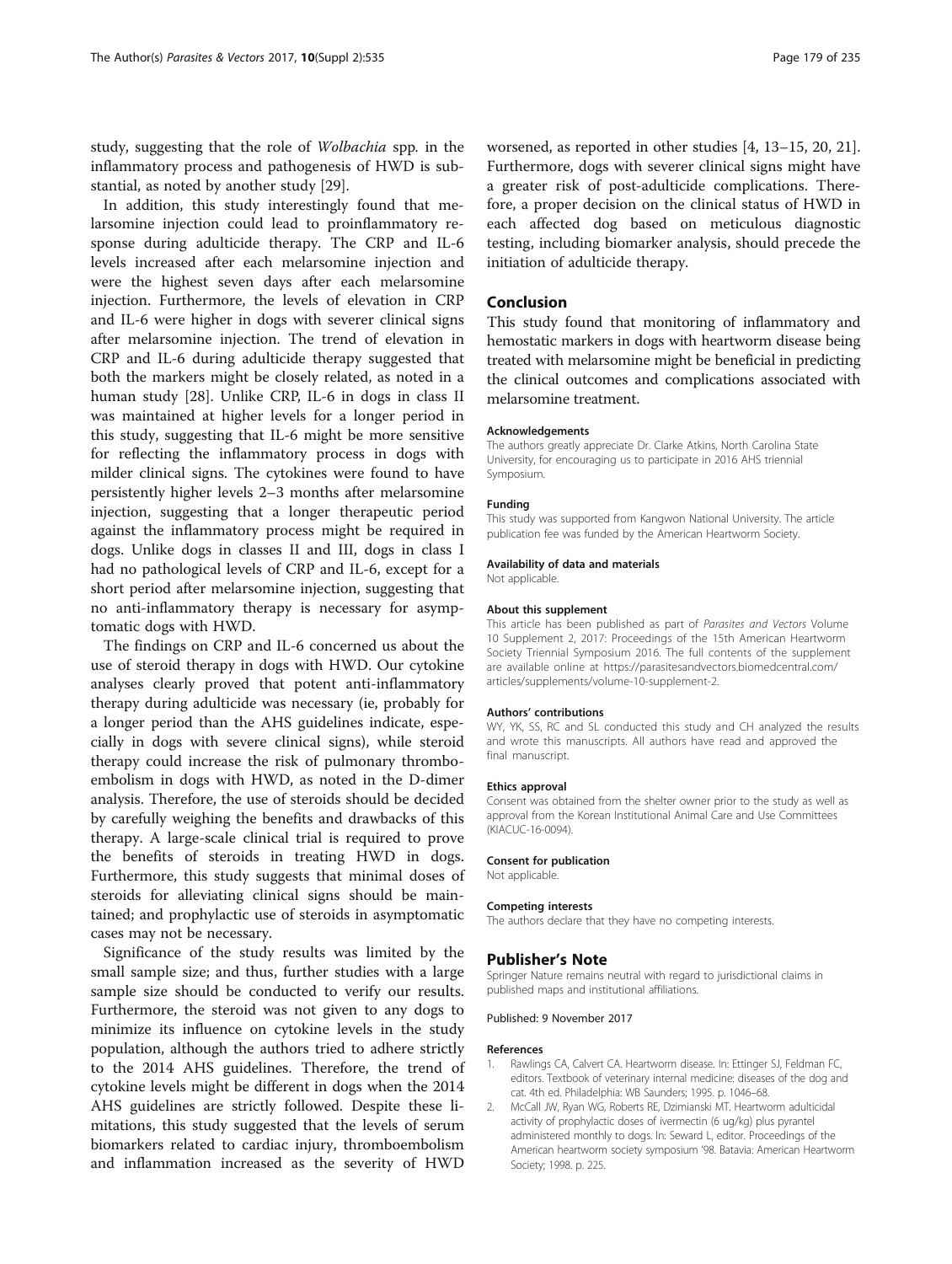<span id="page-6-0"></span>study, suggesting that the role of Wolbachia spp. in the inflammatory process and pathogenesis of HWD is substantial, as noted by another study [[29](#page-7-0)].

In addition, this study interestingly found that melarsomine injection could lead to proinflammatory response during adulticide therapy. The CRP and IL-6 levels increased after each melarsomine injection and were the highest seven days after each melarsomine injection. Furthermore, the levels of elevation in CRP and IL-6 were higher in dogs with severer clinical signs after melarsomine injection. The trend of elevation in CRP and IL-6 during adulticide therapy suggested that both the markers might be closely related, as noted in a human study [[28](#page-7-0)]. Unlike CRP, IL-6 in dogs in class II was maintained at higher levels for a longer period in this study, suggesting that IL-6 might be more sensitive for reflecting the inflammatory process in dogs with milder clinical signs. The cytokines were found to have persistently higher levels 2–3 months after melarsomine injection, suggesting that a longer therapeutic period against the inflammatory process might be required in dogs. Unlike dogs in classes II and III, dogs in class I had no pathological levels of CRP and IL-6, except for a short period after melarsomine injection, suggesting that no anti-inflammatory therapy is necessary for asymptomatic dogs with HWD.

The findings on CRP and IL-6 concerned us about the use of steroid therapy in dogs with HWD. Our cytokine analyses clearly proved that potent anti-inflammatory therapy during adulticide was necessary (ie, probably for a longer period than the AHS guidelines indicate, especially in dogs with severe clinical signs), while steroid therapy could increase the risk of pulmonary thromboembolism in dogs with HWD, as noted in the D-dimer analysis. Therefore, the use of steroids should be decided by carefully weighing the benefits and drawbacks of this therapy. A large-scale clinical trial is required to prove the benefits of steroids in treating HWD in dogs. Furthermore, this study suggests that minimal doses of steroids for alleviating clinical signs should be maintained; and prophylactic use of steroids in asymptomatic cases may not be necessary.

Significance of the study results was limited by the small sample size; and thus, further studies with a large sample size should be conducted to verify our results. Furthermore, the steroid was not given to any dogs to minimize its influence on cytokine levels in the study population, although the authors tried to adhere strictly to the 2014 AHS guidelines. Therefore, the trend of cytokine levels might be different in dogs when the 2014 AHS guidelines are strictly followed. Despite these limitations, this study suggested that the levels of serum biomarkers related to cardiac injury, thromboembolism and inflammation increased as the severity of HWD

worsened, as reported in other studies [[4, 13](#page-7-0)–[15](#page-7-0), [20](#page-7-0), [21](#page-7-0)]. Furthermore, dogs with severer clinical signs might have a greater risk of post-adulticide complications. Therefore, a proper decision on the clinical status of HWD in each affected dog based on meticulous diagnostic testing, including biomarker analysis, should precede the initiation of adulticide therapy.

## Conclusion

This study found that monitoring of inflammatory and hemostatic markers in dogs with heartworm disease being treated with melarsomine might be beneficial in predicting the clinical outcomes and complications associated with melarsomine treatment.

#### Acknowledgements

The authors greatly appreciate Dr. Clarke Atkins, North Carolina State University, for encouraging us to participate in 2016 AHS triennial Symposium.

#### Funding

This study was supported from Kangwon National University. The article publication fee was funded by the American Heartworm Society.

#### Availability of data and materials

Not applicable.

#### About this supplement

This article has been published as part of Parasites and Vectors Volume 10 Supplement 2, 2017: Proceedings of the 15th American Heartworm Society Triennial Symposium 2016. The full contents of the supplement are available online at [https://parasitesandvectors.biomedcentral.com/](https://parasitesandvectors.biomedcentral.com/articles/supplements/volume-10-supplement-2) [articles/supplements/volume-10-supplement-2.](https://parasitesandvectors.biomedcentral.com/articles/supplements/volume-10-supplement-2)

#### Authors' contributions

WY, YK, SS, RC and SL conducted this study and CH analyzed the results and wrote this manuscripts. All authors have read and approved the final manuscript.

#### Ethics approval

Consent was obtained from the shelter owner prior to the study as well as approval from the Korean Institutional Animal Care and Use Committees (KIACUC-16-0094).

#### Consent for publication

Not applicable.

#### Competing interests

The authors declare that they have no competing interests.

### Publisher's Note

Springer Nature remains neutral with regard to jurisdictional claims in published maps and institutional affiliations.

Published: 9 November 2017

#### References

- 1. Rawlings CA, Calvert CA. Heartworm disease. In: Ettinger SJ, Feldman FC, editors. Textbook of veterinary internal medicine: diseases of the dog and cat. 4th ed. Philadelphia: WB Saunders; 1995. p. 1046–68.
- 2. McCall JW, Ryan WG, Roberts RE, Dzimianski MT. Heartworm adulticidal activity of prophylactic doses of ivermectin (6 ug/kg) plus pyrantel administered monthly to dogs. In: Seward L, editor. Proceedings of the American heartworm society symposium '98. Batavia: American Heartworm Society; 1998. p. 225.